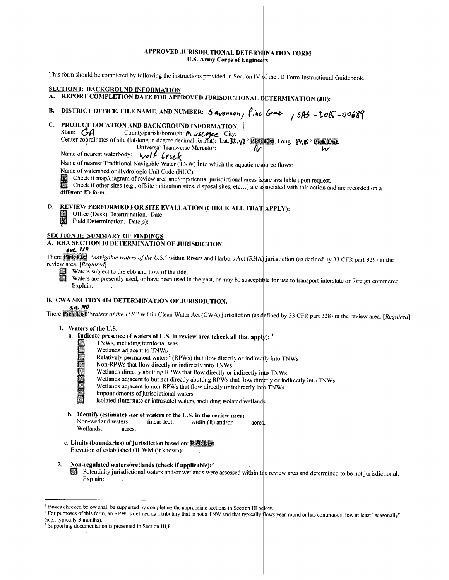## APPROVED JURISDICTIONAL DETERMINATION FORM U.S. Army Corps of Engineers

This form should be completed by following the instructions provided in Section IV of the JD Form Instructional Guidebook.

|    | <b>SECTION I: BACKGROUND INFORMATION</b><br>REPORT COMPLETION DATE FOR APPROVED JURISDICTIONAL DETERMINATION (JD):                                                                                                                                                                                                                                                                                                                                                                                                                                                                                                                                                                                                                           |   |
|----|----------------------------------------------------------------------------------------------------------------------------------------------------------------------------------------------------------------------------------------------------------------------------------------------------------------------------------------------------------------------------------------------------------------------------------------------------------------------------------------------------------------------------------------------------------------------------------------------------------------------------------------------------------------------------------------------------------------------------------------------|---|
| В. | DISTRICT OFFICE, FILE NAME, AND NUMBER: $5$ avonnot, $\int$ ine $6$ rore, $15H5 - 206 - 0068$                                                                                                                                                                                                                                                                                                                                                                                                                                                                                                                                                                                                                                                |   |
| C. | PROJECT LOCATION AND BACKGROUND INFORMATION:<br>State: $GA$<br>County/parish/borough: Muslogee City:<br>Center coordinates of site (lat/long in degree decimal format). Lat. 32.43° Pick List. Long. 39, 8° Pick List.<br>Universal Transverse Mercator:<br>IV<br>Name of nearest waterbody:<br>wolf Creek<br>Name of nearest Traditional Navigable Water (TNW) into which the aquatic resource flows:<br>Name of watershed or Hydrologic Unit Code (HUC):<br>LØ.<br>Check if map/diagram of review area and/or potential jurisdictional areas is are available upon request.<br>П<br>Check if other sites (e.g., offsite mitigation sites, disposal sites, etc) are associated with this action and are recorded on a<br>different JD form. | w |
| D. | REVIEW PERFORMED FOR SITE EVALUATION (CHECK ALL THAT APPLY):<br>Office (Desk) Determination. Date:<br>図<br>Field Determination. Date(s):                                                                                                                                                                                                                                                                                                                                                                                                                                                                                                                                                                                                     |   |
|    | <b>SECTION II: SUMMARY OF FINDINGS</b><br>A. RHA SECTION 10 DETERMINATION OF JURISDICTION.<br>ave No<br>There Pick List "navigable waters of the U.S." within Rivers and Harbors Act (RHA) jurisdiction (as defined by 33 CFR part 329) in the<br>review area. [Required]<br>Waters subject to the ebb and flow of the tide.<br>Waters are presently used, or have been used in the past, or may be susceptible for use to transport interstate or foreign commerce.<br>Explain:                                                                                                                                                                                                                                                             |   |
|    | <b>B. CWA SECTION 404 DETERMINATION OF JURISDICTION.</b><br>an NO<br>There Pick List "waters of the U.S." within Clean Water Act (CWA) jurisdiction (as defined by 33 CFR part 328) in the review area. [Required]                                                                                                                                                                                                                                                                                                                                                                                                                                                                                                                           |   |
|    | 1. Waters of the U.S.<br>a. Indicate presence of waters of U.S. in review area (check all that apply): $1$<br>TNWs, including territorial seas<br>E<br>Wetlands adjacent to TNWs<br>Relatively permanent waters <sup>2</sup> (RPWs) that flow directly or indirectly into TNWs<br><b>Martins</b><br>Non-RPWs that flow directly or indirectly into TNWs<br>Wetlands directly abutting RPWs that flow directly or indirectly into TNWs<br>Wetlands adjacent to but not directly abutting RPWs that flow directly or indirectly into TNWs<br>Wetlands adjacent to non-RPWs that flow directly or indirectly into TNWs<br>Impoundments of jurisdictional waters<br>Isolated (interstate or intrastate) waters, including isolated wetlands      |   |
|    | b. Identify (estimate) size of waters of the U.S. in the review area:<br>Non-wetland waters:<br>linear feet:<br>width $(f)$ and/or<br>acres.<br>Wetlands:<br>acres.                                                                                                                                                                                                                                                                                                                                                                                                                                                                                                                                                                          |   |
|    | c. Limits (boundaries) of jurisdiction based on: Pick List<br>Elevation of established OHWM (if known):                                                                                                                                                                                                                                                                                                                                                                                                                                                                                                                                                                                                                                      |   |
|    | 2.<br>Non-regulated waters/wetlands (check if applicable): <sup>3</sup><br>Potentially jurisdictional waters and/or wetlands were assessed within the review area and determined to be not jurisdictional.<br>Explain:                                                                                                                                                                                                                                                                                                                                                                                                                                                                                                                       |   |
|    |                                                                                                                                                                                                                                                                                                                                                                                                                                                                                                                                                                                                                                                                                                                                              |   |

<sup>&</sup>lt;sup>1</sup> Boxes checked below shall be supported by completing the appropriate sections in Section III below.<br><sup>2</sup> For purposes of this form, an RPW is defined as a tributary that is not a TNW and that typically flows year-round (e.g., typically 3 months).<br><sup>3</sup> Supporting documentation is presented in Section III.F.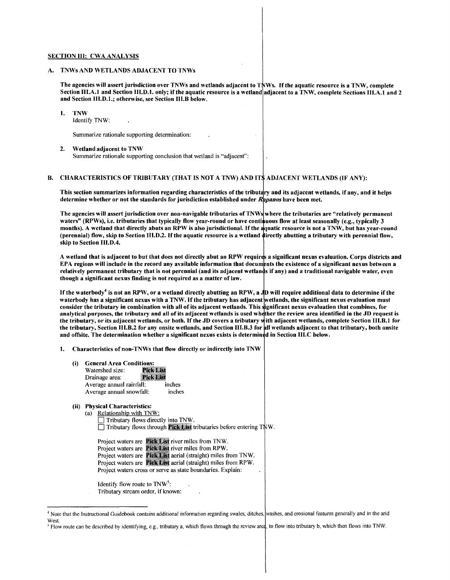#### SECTION III: CWA ANALYSIS

#### A. TNWs AND WETLANDS ADJACENT TO TNWs

The agencies will assert jurisdiction over TNWs and wetlands adjacent to TNWs. If the aquatic resource is a TNW, complete Section III.A.1 and Section III.D.1. only; if the aquatic resource is a wetland adjacent to a TNW, complete Sections III.A.1 and 2 and Section 111.D.1.; otherwise, see Section 111.B below.

I. TNW Identify TNW:

Summarize rationale supporting determination:

2. Wetland adjacent to TNW Summarize rationale supporting conclusion that wetland is "adjacent":

### B. CHARACTERISTICS OF TRIBUTARY (THAT IS NOT A TNW) AND IT\$ ADJACENT WETLANDS (IF ANY):

This section summarizes information regarding characteristics of the tributary and its adjacent wetlands, if any, and it helps determine whether or not the standards for jurisdiction established under *Rapanos* have been met.

The agencies will assert jurisdiction over non-navigable tributaries of TNWs where the tributaries are "relatively permanent waters" (RPWs), i.e. tributaries that typically flow year-round or have continuous flow at least seasonally (e.g., typically 3 months). A wetland that directly abuts an RPW is also jurisdictional. If the quatic resource is not a TNW, but has year-round (perennial) flow, skip to Section 111.D.2. If the aquatic resource is a wetland irectly abutting a tributary with perennial flow, skip to Section 111.D.4.

A wetland that is adjacent to but that does not directly abut an RPW requires a significant nexus evaluation. Corps districts and EPA regions will include in the record any available information that documents the existence of a significant nexus between a relatively permanent tributary that is not perennial (and its adjacent wetlands if any) and a traditional navigable water, even though a significant nexus finding is not required as a matter of law.

If the waterbody<sup>4</sup> is not an RPW, or a wetland directly abutting an RPW, a JD will require additional data to determine if the waterbody has a significant nexus with a TNW. If the tributary has adjacent wetlands, the significant nexus evaluation must consider the tributary in combination with all of its adjacent wetlands. This ignificant nexus evaluation that combines, for analytical purposes, the tributary and all of its adjacent wetlands is used whether the review area identified in the JD request is the tributary, or its adjacent wetlands, or both. If the JD covers a tributary with adjacent wetlands, complete Section III.B.1 for the tributary, Section III.B.2 for any onsite wetlands, and Section III.B.3 for all wetlands adjacent to that tributary, both onsite and offsite. The determination whether a significant nexus exists is determin din Section 111.C below.

- I. Characteristics of non-TNWs that flow directly or indirectly into TNW
	- (i) General Area Conditions:
		- Watershed size: **Pick List** Drainage area: Pick Lis Average annual rainfall: inches Average annual snowfall: inches

# (ii) Physical Characteristics:

- (a) Relationship with TNW:
	- Tributary flows directly into TNW.  $\Box$  Tributary flows through **Pick List** tributaries before entering TNW.

|  | Project waters are <b>Pick List</b> river miles from TNW.             |
|--|-----------------------------------------------------------------------|
|  | Project waters are <b>Pick List</b> river miles from RPW.             |
|  | Project waters are Pick List aerial (straight) miles from TNW.        |
|  | Project waters are <b>Pick List</b> aerial (straight) miles from RPW. |
|  | Project waters cross or serve as state boundaries. Explain:           |

Identify flow route to  $TW^5$ : Tributary stream order, if known:

<sup>&</sup>lt;sup>4</sup> Note that the Instructional Guidebook contains additional information regarding swales, ditches, washes, and erosional features generally and in the arid **West**.

<sup>&</sup>lt;sup>5</sup> Flow route can be described by identifying, e.g., tributary a, which flows through the review ared, to flow into tributary b, which then flows into TNW.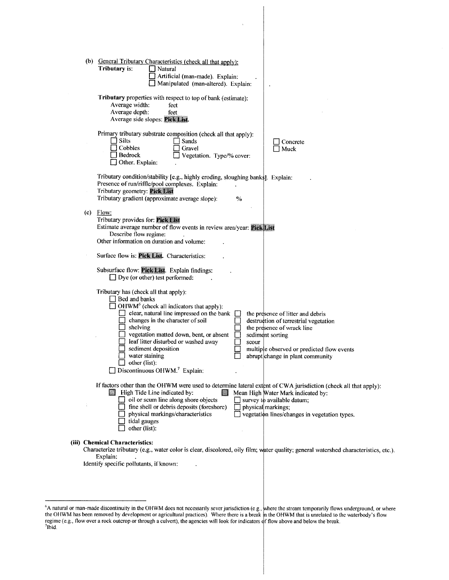|   | (b) General Tributary Characteristics (check all that apply):<br>Tributary is:<br>Natural<br>Artificial (man-made). Explain:<br>Manipulated (man-altered). Explain:                                                                                                                                                                                                                                                                 |                                                                                                                                                                                                                |
|---|-------------------------------------------------------------------------------------------------------------------------------------------------------------------------------------------------------------------------------------------------------------------------------------------------------------------------------------------------------------------------------------------------------------------------------------|----------------------------------------------------------------------------------------------------------------------------------------------------------------------------------------------------------------|
|   | Tributary properties with respect to top of bank (estimate):<br>Average width:<br>feet<br>Average depth:<br>feet<br>Average side slopes: Pick List.                                                                                                                                                                                                                                                                                 |                                                                                                                                                                                                                |
|   | Primary tributary substrate composition (check all that apply):<br>Silts<br>  Sands<br>Cobbles<br>Gravel<br>  Bedrock<br>Vegetation. Type/% cover:<br>Other. Explain:                                                                                                                                                                                                                                                               | Concrete<br>Muck                                                                                                                                                                                               |
|   | Tributary condition/stability [e.g., highly eroding, sloughing banks]. Explain:<br>Presence of run/riffle/pool complexes. Explain:<br>Tributary geometry: Pick List<br>Tributary gradient (approximate average slope):<br>$\%$                                                                                                                                                                                                      |                                                                                                                                                                                                                |
|   | $(c)$ Flow:<br>Tributary provides for: Pick List<br>Estimate average number of flow events in review area/year: Pick List<br>Describe flow regime:<br>Other information on duration and volume:                                                                                                                                                                                                                                     |                                                                                                                                                                                                                |
|   | Surface flow is: Pick List. Characteristics:                                                                                                                                                                                                                                                                                                                                                                                        |                                                                                                                                                                                                                |
|   | Subsurface flow: Pick List. Explain findings:<br>$\Box$ Dye (or other) test performed:                                                                                                                                                                                                                                                                                                                                              |                                                                                                                                                                                                                |
|   | Tributary has (check all that apply):<br>$\Box$ Bed and banks<br>OHWM <sup>6</sup> (check all indicators that apply):<br>clear, natural line impressed on the bank<br>changes in the character of soil<br>$\Box$ shelving<br>vegetation matted down, bent, or absent<br>leaf litter disturbed or washed away<br>scour<br>sediment deposition<br>water staining<br>other (list):<br>$\Box$ Discontinuous OHWM. <sup>7</sup> Explain: | the presence of litter and debris<br>destruction of terrestrial vegetation<br>the presence of wrack line<br>sediment sorting<br>multiple observed or predicted flow events<br>abrupt change in plant community |
| ł | If factors other than the OHWM were used to determine lateral extent of CWA jurisdiction (check all that apply):<br>High Tide Line indicated by:<br>oil or scum line along shore objects<br>fine shell or debris deposits (foreshore)<br>physical markings;<br>physical markings/characteristics<br>tidal gauges<br>other (list):                                                                                                   | Mean High Water Mark indicated by:<br>survey to available datum;<br>vegetation lines/changes in vegetation types.                                                                                              |
|   | (iii) Chemical Characteristics:<br>Characterize tributary (e.g., water color is clear, discolored, oily film; water quality; general watershed characteristics, etc.).<br>Explain:<br>Identify specific pollutants, if known:                                                                                                                                                                                                       |                                                                                                                                                                                                                |
|   |                                                                                                                                                                                                                                                                                                                                                                                                                                     |                                                                                                                                                                                                                |

 $\bar{\mathbf{v}}$ 

<sup>&</sup>quot;A natural or man-made discontinuity in the OHWM does not necessarily sever jurisdiction (e.g., here the stream temporarily flows underground, or where the OHWM has been removed by development or agricultural practices). Where there is a break in the OHWM that is unrelated to the waterbody's flow regime (e.g., flow over a rock outcrop or through a culvert), the agencies will look for indicators of flow above and below the break.<br><sup>7</sup>Ibid.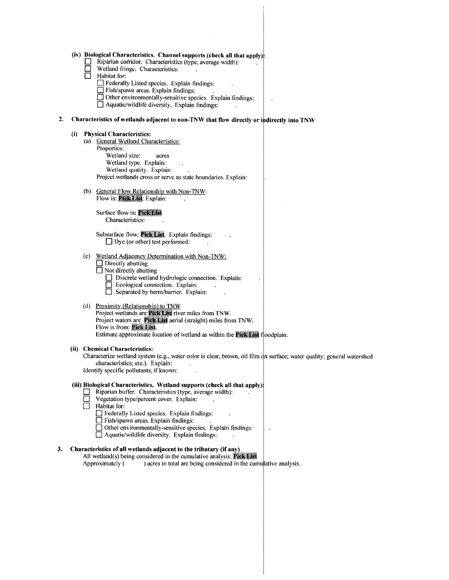|    | (iv) Biological Characteristics. Channel supports (check all that apply);<br>Riparian corridor. Characteristics (type, average width):<br>Wetland fringe. Characteristics:<br>Habitat for:<br>Federally Listed species. Explain findings:<br>$\Box$ Fish/spawn areas. Explain findings:<br>□ Other environmentally-sensitive species. Explain findings:<br>Aquatic/wildlife diversity. Explain findings:     |  |
|----|--------------------------------------------------------------------------------------------------------------------------------------------------------------------------------------------------------------------------------------------------------------------------------------------------------------------------------------------------------------------------------------------------------------|--|
| 2. | Characteristics of wetlands adjacent to non-TNW that flow directly or indirectly into TNW                                                                                                                                                                                                                                                                                                                    |  |
|    | <b>Physical Characteristics:</b><br>(i)<br>(a) General Wetland Characteristics:<br>Properties:<br>Wetland size:<br>acres<br>Wetland type. Explain:<br>Wetland quality. Explain:<br>Project wetlands cross or serve as state boundaries. Explain:                                                                                                                                                             |  |
|    | (b) General Flow Relationship with Non-TNW:<br>Flow is: Pick List. Explain:                                                                                                                                                                                                                                                                                                                                  |  |
|    | Surface flow is: Pick List<br>Characteristics:                                                                                                                                                                                                                                                                                                                                                               |  |
|    | Subsurface flow: Pick List. Explain findings:<br>$\Box$ Dye (or other) test performed:                                                                                                                                                                                                                                                                                                                       |  |
|    | (c) Wetland Adjacency Determination with Non-TNW:<br>$\Box$ Directly abutting<br>Not directly abutting<br>Discrete wetland hydrologic connection. Explain:<br>Ecological connection. Explain:<br>Separated by berm/barrier. Explain:                                                                                                                                                                         |  |
|    | (d) Proximity (Relationship) to TNW<br>Project wetlands are Pick List river miles from TNW.<br>Project waters are Pick List aerial (straight) miles from TNW.<br>Flow is from: Pick List.<br>Estimate approximate location of wetland as within the <b>Pick List</b> floodplain.                                                                                                                             |  |
|    | <b>Chemical Characteristics:</b><br>(ii)<br>Characterize wetland system (e.g., water color is clear, brown, oil film on surface; water quality; general watershed<br>characteristics; etc.). Explain:<br>Identify specific pollutants, if known:                                                                                                                                                             |  |
|    | (iii) Biological Characteristics. Wetland supports (check all that apply):<br>Riparian buffer. Characteristics (type, average width):<br>Vegetation type/percent cover. Explain:<br>Habitat for:<br>Federally Listed species. Explain findings:<br>Fish/spawn areas. Explain findings:<br>$\Box$ Other environmentally-sensitive species. Explain findings:<br>Aquatic/wildlife diversity. Explain findings: |  |
| 3. | Characteristics of all wetlands adjacent to the tributary (if any)<br>All wetland(s) being considered in the cumulative analysis: Pick List<br>) acres in total are being considered in the cumulative analysis.<br>Approximately (                                                                                                                                                                          |  |
|    |                                                                                                                                                                                                                                                                                                                                                                                                              |  |
|    |                                                                                                                                                                                                                                                                                                                                                                                                              |  |
|    |                                                                                                                                                                                                                                                                                                                                                                                                              |  |
|    |                                                                                                                                                                                                                                                                                                                                                                                                              |  |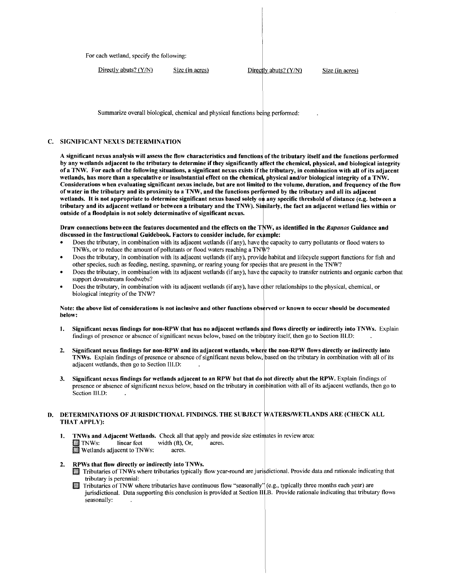For each wetland, specify the following:

 $Directly$  abuts?  $(Y/N)$  Size (in acres) Directly abuts?  $(Y/N)$  Size (in acres)

Summarize overall biological, chemical and physical functions being performed:

# C. SIGNIFICANT NEXUS DETERMINATION

A significant nexus analysis will assess the flow characteristics and functions of the tributary itself and the functions performed by any wetlands adjacent to the tributary to determine if they significantly affect the chemical, physical, and biological integrity of a TNW. For each of the following situations, a significant nexus exists if the tributary, in combination with all of its adjacent wetlands, has more than a speculative or insubstantial effect on the chemical, physical and/or biological integrity of a TNW. Considerations when evaluating significant nexus include, but are not limited to the volume, duration, and frequency of the flow of water in the tributary and its proximity to a TNW, and the functions performed by the tributary and all its adjacent wetlands. It is not appropriate to determine significant nexus based solely on any specific threshold of distance (e.g. between a tributary and its adjacent wetland or between a tributary and the TNW). Similarly, the fact an adjacent wetland lies within or outside of a floodplain is not solely determinative of significant nexus.

Draw connections between the features documented and the effects on the T W, as identified in the *Rapanos* Guidance and discussed in the Instructional Guidebook. Factors to consider include, for ex mple:

- Does the tributary, in combination with its adjacent wetlands (if any), have the capacity to carry pollutants or flood waters to TNWs, or to reduce the amount of pollutants or flood waters reaching a TNW?
- Does the tributary, in combination with its adjacent wetlands (if any), provide habitat and lifecycle support functions for fish and other species, such as feeding, nesting, spawning, or rearing young for species that are present in the TNW?
- Does the tributary, in combination with its adjacent wetlands (if any), have the capacity to transfer nutrients and organic carbon that support downstream foodwebs?
- Does the tributary, in combination with its adjacent wetlands (if any), have ther relationships to the physical, chemical, or biological integrity of the TNW?

### Note: the above list of considerations is not inclusive and other functions observed or known to occur should be documented below:

- 1. Significant nexus findings for non-RPW that has no adjacent wetlands and flows directly or indirectly into TNWs. Explain findings of presence or absence of significant nexus below, based on the trib tary itself, then go to Section Ill.D:
- 2. Significant nexus findings for non-RPW and its adjacent wetlands, where the non-RPW flows directly or indirectly into TNWs. Explain findings of presence or absence of significant nexus below, based on the tributary in combination with all of its adjacent wetlands, then go to Section 111.D:
- 3. Significant nexus findings for wetlands adjacent to an RPW but that do ot directly abut the RPW. Explain findings of presence or absence of significant nexus below, based on the tributary in combination with all of its adjacent wetlands, then go to Section III D:

# D. DETERMINATIONS OF JURISDICTIONAL FINDINGS. THE SUBJECT WATERS/WETLANDS ARE (CHECK ALL THAT APPLY):

- 1. TNWs and Adjacent Wetlands. Check all that apply and provide size estimates in review area:<br>II TNWs: linear feet width (ft), Or, acres.<br>II Wetlands adjacent to TNWs: acres.
- 2. RPWs that flow directly or indirectly into TNWs.
	- III Tributaries of TNWs where tributaries typically flow year-round are jurisdictional. Provide data and rationale indicating that tributary is perennial:
	- **Filturies of TNW where tributaries have continuous flow "seasonally"** (e.g., typically three months each year) are jurisdictional. Data supporting this conclusion is provided at Section II .B. Provide rationale indicating that tributary flows seasonally: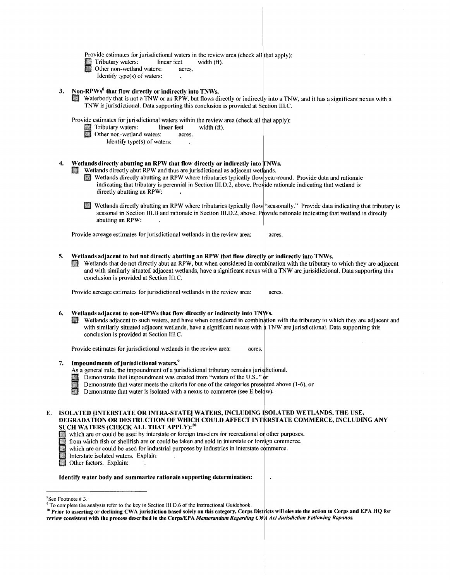Provide estimates for jurisdictional waters in the review area (check all that apply):<br>
Tributary waters: linear feet width (ft).

- Tributary waters: linear feet width  $(ft)$ .
	- Other non-wetland waters: acres.
	- Identify type(s) of waters:

# 3. Non-RPWs<sup>8</sup> that flow directly or indirectly into TNWs.

Waterbody that is not a TNW or an RPW, but flows directly or indirectly into a TNW, and it has a significant nexus with a TNW is jurisdictional. Data supporting this conclusion is provided at Section III.C.

Provide estimates for jurisdictional waters within the review area (check all that apply):<br>
Tributary waters: linear feet width (ft).

- III Tributary waters: linear feet width (ft).
- **IJ** Other non-wetland waters: acres.
	- Identify type(s) of waters:

# 4. Wetlands directly abutting an RPW that flow directly or indirectly into TNWs.

- Wetlands directly abut RPW and thus are jurisdictional as adjacent wetlands.
	- III Wetlands directly abutting an RPW where tributaries typically flow year-round. Provide data and rationale indicating that tributary is perennial in Section III.D.2, above. Provide rationale indicating that wetland is directly abutting an RPW:
	- l!I Wetlands directly abutting an RPW where tributaries typically flow "seasonally.'' Provide data indicating that tributary is seasonal in Section III.B and rationale in Section III.D.2, above. Provide rationale indicating that wetland is directly abutting an RPW:

Provide acreage estimates for jurisdictional wetlands in the review area: acres.

- 5. Wetlands adjacent to but not directly abutting an RPW that flow directly or indirectly into TNWs.
	- Wetlands that do not directly abut an RPW, but when considered in combination with the tributary to which they are adjacent and with similarly situated adjacent wetlands, have a significant nexus with a TNW are jurisidictional. Data supporting this conclusion is provided at Section IIl.C.

Provide acreage estimates for jurisdictional wetlands in the review area:  $\parallel$  acres.

### 6. Wetlands adjacent to non-RPWs that flow directly or indirectly into TNWs.

Wetlands adjacent to such waters, and have when considered in combination with the tributary to which they are adjacent and with similarly situated adjacent wetlands, have a significant nexus with a TNW are jurisdictional. Data supporting this conclusion is provided at Section 111.C.

Provide estimates for jurisdictional wetlands in the review area: acres.

## 7. Impoundments of jurisdictional waters.<sup>9</sup>

- As a general rule, the impoundment of a jurisdictional tributary remains jurisdictional. Impoundments of jurisdictional waters.<sup>9</sup><br>As a general rule, the impoundment of a jurisdictional tributary remains jurisdiction<br>Demonstrate that impoundment was created from "waters of the U.S.," or<br>Demonstrate that water
- **III**
- Demonstrate that water meets the criteria for one of the categories presented above  $(1-6)$ , or

Demonstrate that water is isolated with a nexus to commerce (see E below).

### E. ISOLATED [INTERSTATE OR INTRA-STATE) WATERS, INCLUDING SOLATED WETLANDS, THE USE, DEGRADATION OR DESTRUCTION OF WHICH COULD AFFECT INTERSTATE COMMERCE, INCLUDING ANY SUCH WATERS (CHECK ALL THAT APPLY):<sup>10</sup>

- 
- which are or could be used by interstate or foreign travelers for recreational or other purposes.<br>In from which fish or shell fish are or could be taken and sold in interstate or foreign commerce.
- which are or could be used for industrial purposes by industries in interstate commerce.<br>Interstate isolated waters. Explain:
- Interstate isolated waters. Explain:<br>1. Other factors. Explain:
- Other factors. Explain:

#### Identify water body and summarize rationale supporting determination:

<sup>&</sup>lt;sup>8</sup>See Footnote #3.

<sup>&</sup>lt;sup>9</sup> To complete the analysis refer to the key in Section III.D.6 of the Instructional Guidebook.<br><sup>10</sup> Prior to asserting or declining CWA jurisdiction based solely on this category, Corps Districts will elevate the action review consistent with the process described in the Corps/EPA *Memorandum Regarding CWA Act Jurisdiction Following Rapanos.*